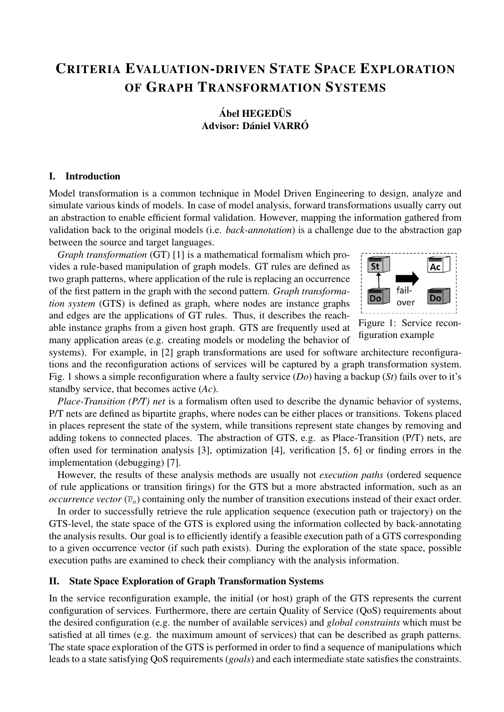# CRITERIA EVALUATION-DRIVEN STATE SPACE EXPLORATION OF GRAPH TRANSFORMATION SYSTEMS

## **Ábel HEGEDÜS** Advisor: Dániel VARRÓ

#### I. Introduction

Model transformation is a common technique in Model Driven Engineering to design, analyze and simulate various kinds of models. In case of model analysis, forward transformations usually carry out an abstraction to enable efficient formal validation. However, mapping the information gathered from validation back to the original models (i.e. *back-annotation*) is a challenge due to the abstraction gap between the source and target languages.

*Graph transformation* (GT) [1] is a mathematical formalism which provides a rule-based manipulation of graph models. GT rules are defined as two graph patterns, where application of the rule is replacing an occurrence of the first pattern in the graph with the second pattern. *Graph transformation system* (GTS) is defined as graph, where nodes are instance graphs and edges are the applications of GT rules. Thus, it describes the reachable instance graphs from a given host graph. GTS are frequently used at many application areas (e.g. creating models or modeling the behavior of



Figure 1: Service reconfiguration example

systems). For example, in [2] graph transformations are used for software architecture reconfigurations and the reconfiguration actions of services will be captured by a graph transformation system. Fig. 1 shows a simple reconfiguration where a faulty service (*Do*) having a backup (*St*) fails over to it's standby service, that becomes active (*Ac*).

*Place-Transition (P/T) net* is a formalism often used to describe the dynamic behavior of systems, P/T nets are defined as bipartite graphs, where nodes can be either places or transitions. Tokens placed in places represent the state of the system, while transitions represent state changes by removing and adding tokens to connected places. The abstraction of GTS, e.g. as Place-Transition (P/T) nets, are often used for termination analysis [3], optimization [4], verification [5, 6] or finding errors in the implementation (debugging) [7].

However, the results of these analysis methods are usually not *execution paths* (ordered sequence of rule applications or transition firings) for the GTS but a more abstracted information, such as an *occurrence vector*  $(\overline{v}_o)$  containing only the number of transition executions instead of their exact order.

In order to successfully retrieve the rule application sequence (execution path or trajectory) on the GTS-level, the state space of the GTS is explored using the information collected by back-annotating the analysis results. Our goal is to efficiently identify a feasible execution path of a GTS corresponding to a given occurrence vector (if such path exists). During the exploration of the state space, possible execution paths are examined to check their compliancy with the analysis information.

#### II. State Space Exploration of Graph Transformation Systems

In the service reconfiguration example, the initial (or host) graph of the GTS represents the current configuration of services. Furthermore, there are certain Quality of Service (QoS) requirements about the desired configuration (e.g. the number of available services) and *global constraints* which must be satisfied at all times (e.g. the maximum amount of services) that can be described as graph patterns. The state space exploration of the GTS is performed in order to find a sequence of manipulations which leads to a state satisfying QoS requirements (*goals*) and each intermediate state satisfies the constraints.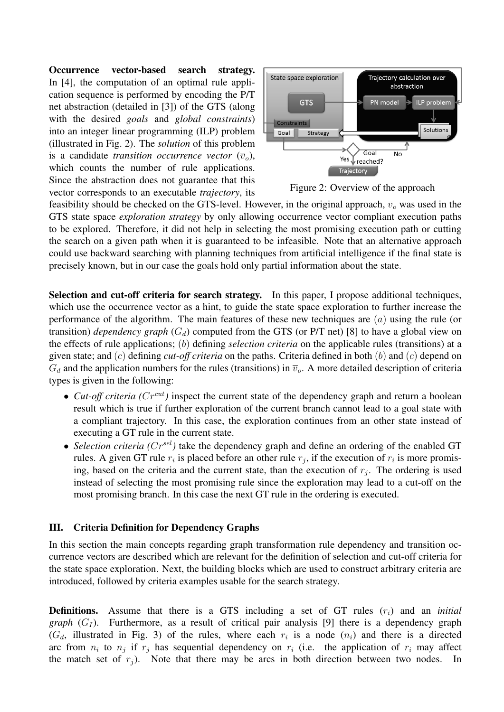Occurrence vector-based search strategy. In [4], the computation of an optimal rule application sequence is performed by encoding the P/T net abstraction (detailed in [3]) of the GTS (along with the desired *goals* and *global constraints*) into an integer linear programming (ILP) problem (illustrated in Fig. 2). The *solution* of this problem is a candidate *transition occurrence vector*  $(\overline{v}_o)$ , which counts the number of rule applications. Since the abstraction does not guarantee that this vector corresponds to an executable *trajectory*, its



Figure 2: Overview of the approach

feasibility should be checked on the GTS-level. However, in the original approach,  $\overline{v}_o$  was used in the GTS state space *exploration strategy* by only allowing occurrence vector compliant execution paths to be explored. Therefore, it did not help in selecting the most promising execution path or cutting the search on a given path when it is guaranteed to be infeasible. Note that an alternative approach could use backward searching with planning techniques from artificial intelligence if the final state is precisely known, but in our case the goals hold only partial information about the state.

Selection and cut-off criteria for search strategy. In this paper, I propose additional techniques, which use the occurrence vector as a hint, to guide the state space exploration to further increase the performance of the algorithm. The main features of these new techniques are  $(a)$  using the rule (or transition) *dependency graph*  $(G_d)$  computed from the GTS (or P/T net) [8] to have a global view on the effects of rule applications; (b) defining *selection criteria* on the applicable rules (transitions) at a given state; and (c) defining *cut-off criteria* on the paths. Criteria defined in both (b) and (c) depend on  $G_d$  and the application numbers for the rules (transitions) in  $\overline{v}_o$ . A more detailed description of criteria types is given in the following:

- *Cut-off criteria (* $Cr^{cut}$ *)* inspect the current state of the dependency graph and return a boolean result which is true if further exploration of the current branch cannot lead to a goal state with a compliant trajectory. In this case, the exploration continues from an other state instead of executing a GT rule in the current state.
- *Selection criteria*  $(Cr^{sel})$  take the dependency graph and define an ordering of the enabled GT rules. A given GT rule  $r_i$  is placed before an other rule  $r_j$ , if the execution of  $r_i$  is more promising, based on the criteria and the current state, than the execution of  $r_j$ . The ordering is used instead of selecting the most promising rule since the exploration may lead to a cut-off on the most promising branch. In this case the next GT rule in the ordering is executed.

### III. Criteria Definition for Dependency Graphs

In this section the main concepts regarding graph transformation rule dependency and transition occurrence vectors are described which are relevant for the definition of selection and cut-off criteria for the state space exploration. Next, the building blocks which are used to construct arbitrary criteria are introduced, followed by criteria examples usable for the search strategy.

**Definitions.** Assume that there is a GTS including a set of GT rules  $(r_i)$  and an *initial graph*  $(G_I)$ . Furthermore, as a result of critical pair analysis [9] there is a dependency graph  $(G_d,$  illustrated in Fig. 3) of the rules, where each  $r_i$  is a node  $(n_i)$  and there is a directed arc from  $n_i$  to  $n_j$  if  $r_j$  has sequential dependency on  $r_i$  (i.e. the application of  $r_i$  may affect the match set of  $r_i$ ). Note that there may be arcs in both direction between two nodes.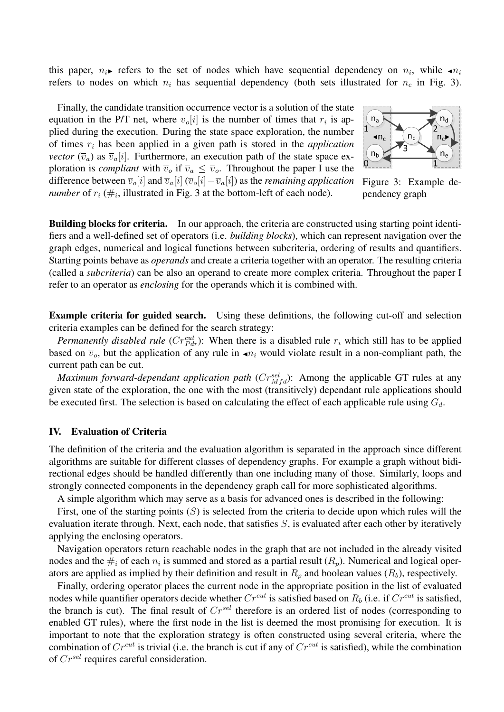this paper,  $n_i$  refers to the set of nodes which have sequential dependency on  $n_i$ , while  $\triangleleft n_i$ refers to nodes on which  $n_i$  has sequential dependency (both sets illustrated for  $n_c$  in Fig. 3).

Finally, the candidate transition occurrence vector is a solution of the state equation in the P/T net, where  $\overline{v}_o[i]$  is the number of times that  $r_i$  is applied during the execution. During the state space exploration, the number of times  $r_i$  has been applied in a given path is stored in the *application vector*  $(\overline{v}_a)$  as  $\overline{v}_a[i]$ . Furthermore, an execution path of the state space exploration is *compliant* with  $\overline{v}_o$  if  $\overline{v}_a \leq \overline{v}_o$ . Throughout the paper I use the difference between  $\overline{v}_o[i]$  and  $\overline{v}_a[i]$  ( $\overline{v}_o[i] - \overline{v}_a[i]$ ) as the *remaining application number* of  $r_i$  ( $\#_i$ , illustrated in Fig. 3 at the bottom-left of each node).



Figure 3: Example dependency graph

Building blocks for criteria. In our approach, the criteria are constructed using starting point identifiers and a well-defined set of operators (i.e. *building blocks*), which can represent navigation over the graph edges, numerical and logical functions between subcriteria, ordering of results and quantifiers. Starting points behave as *operands* and create a criteria together with an operator. The resulting criteria (called a *subcriteria*) can be also an operand to create more complex criteria. Throughout the paper I refer to an operator as *enclosing* for the operands which it is combined with.

Example criteria for guided search. Using these definitions, the following cut-off and selection criteria examples can be defined for the search strategy:

*Permanently disabled rule* ( $Cr_{Pdr}^{cut}$ ): When there is a disabled rule  $r_i$  which still has to be applied based on  $\overline{v}_o$ , but the application of any rule in  $\triangleleft n_i$  would violate result in a non-compliant path, the current path can be cut.

*Maximum forward-dependant application path*  $(Cr_{Mfd}^{sel})$ : Among the applicable GT rules at any given state of the exploration, the one with the most (transitively) dependant rule applications should be executed first. The selection is based on calculating the effect of each applicable rule using  $G_d$ .

#### IV. Evaluation of Criteria

The definition of the criteria and the evaluation algorithm is separated in the approach since different algorithms are suitable for different classes of dependency graphs. For example a graph without bidirectional edges should be handled differently than one including many of those. Similarly, loops and strongly connected components in the dependency graph call for more sophisticated algorithms.

A simple algorithm which may serve as a basis for advanced ones is described in the following:

First, one of the starting points  $(S)$  is selected from the criteria to decide upon which rules will the evaluation iterate through. Next, each node, that satisfies S, is evaluated after each other by iteratively applying the enclosing operators.

Navigation operators return reachable nodes in the graph that are not included in the already visited nodes and the  $\#_i$  of each  $n_i$  is summed and stored as a partial result  $(R_p)$ . Numerical and logical operators are applied as implied by their definition and result in  $R_p$  and boolean values  $(R_b)$ , respectively.

Finally, ordering operator places the current node in the appropriate position in the list of evaluated nodes while quantifier operators decide whether  $Cr^{cut}$  is satisfied based on  $R_b$  (i.e. if  $Cr^{cut}$  is satisfied, the branch is cut). The final result of  $Cr^{sel}$  therefore is an ordered list of nodes (corresponding to enabled GT rules), where the first node in the list is deemed the most promising for execution. It is important to note that the exploration strategy is often constructed using several criteria, where the combination of  $Cr^{cut}$  is trivial (i.e. the branch is cut if any of  $Cr^{cut}$  is satisfied), while the combination of  $Cr<sup>sel</sup>$  requires careful consideration.